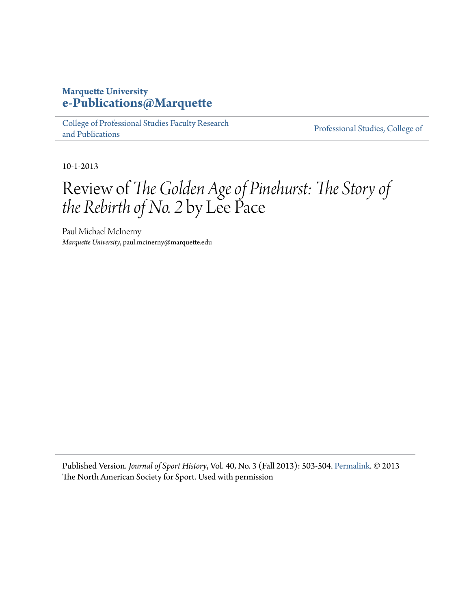## **Marquette University [e-Publications@Marquette](https://epublications.marquette.edu)**

[College of Professional Studies Faculty Research](https://epublications.marquette.edu/cps_fac) [and Publications](https://epublications.marquette.edu/cps_fac)

[Professional Studies, College of](https://epublications.marquette.edu/professional)

10-1-2013

## Review of *The Golden Age of Pinehurst: The Story of the Rebirth of No. 2* by Lee Pace

Paul Michael McInerny *Marquette University*, paul.mcinerny@marquette.edu

Published Version. *Journal of Sport History*, Vol. 40, No. 3 (Fall 2013): 503-504. [Permalink.](http://www.journalofsporthistory.org/current-and-back-issues.html) © 2013 The North American Society for Sport. Used with permission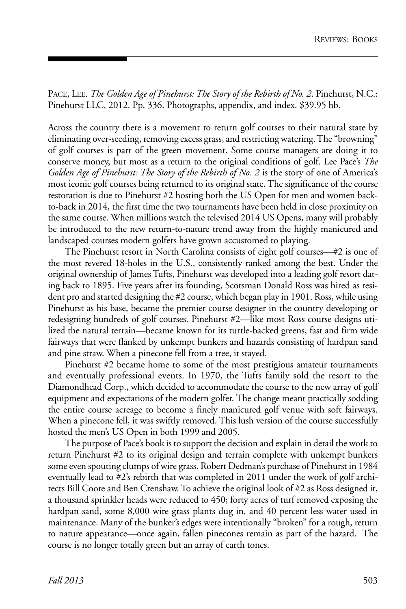PACE, LEE. *The Golden Age of Pinehurst: The Story of the Rebirth of No. 2*. Pinehurst, N.C.: Pinehurst LLC, 2012. Pp. 336. Photographs, appendix, and index. \$39.95 hb.

Across the country there is a movement to return golf courses to their natural state by eliminating over-seeding, removing excess grass, and restricting watering. The "browning" of golf courses is part of the green movement. Some course managers are doing it to conserve money, but most as a return to the original conditions of golf. Lee Pace's *The Golden Age of Pinehurst: The Story of the Rebirth of No. 2* is the story of one of America's most iconic golf courses being returned to its original state. The significance of the course restoration is due to Pinehurst #2 hosting both the US Open for men and women backto-back in 2014, the first time the two tournaments have been held in close proximity on the same course. When millions watch the televised 2014 US Opens, many will probably be introduced to the new return-to-nature trend away from the highly manicured and landscaped courses modern golfers have grown accustomed to playing.

The Pinehurst resort in North Carolina consists of eight golf courses—#2 is one of the most revered 18-holes in the U.S., consistently ranked among the best. Under the original ownership of James Tufts, Pinehurst was developed into a leading golf resort dating back to 1895. Five years after its founding, Scotsman Donald Ross was hired as resident pro and started designing the #2 course, which began play in 1901. Ross, while using Pinehurst as his base, became the premier course designer in the country developing or redesigning hundreds of golf courses. Pinehurst #2—like most Ross course designs utilized the natural terrain—became known for its turtle-backed greens, fast and firm wide fairways that were flanked by unkempt bunkers and hazards consisting of hardpan sand and pine straw. When a pinecone fell from a tree, it stayed.

Pinehurst #2 became home to some of the most prestigious amateur tournaments and eventually professional events. In 1970, the Tufts family sold the resort to the Diamondhead Corp., which decided to accommodate the course to the new array of golf equipment and expectations of the modern golfer. The change meant practically sodding the entire course acreage to become a finely manicured golf venue with soft fairways. When a pinecone fell, it was swiftly removed. This lush version of the course successfully hosted the men's US Open in both 1999 and 2005.

The purpose of Pace's book is to support the decision and explain in detail the work to return Pinehurst #2 to its original design and terrain complete with unkempt bunkers some even spouting clumps of wire grass. Robert Dedman's purchase of Pinehurst in 1984 eventually lead to #2's rebirth that was completed in 2011 under the work of golf architects Bill Coore and Ben Crenshaw. To achieve the original look of #2 as Ross designed it, a thousand sprinkler heads were reduced to 450; forty acres of turf removed exposing the hardpan sand, some 8,000 wire grass plants dug in, and 40 percent less water used in maintenance. Many of the bunker's edges were intentionally "broken" for a rough, return to nature appearance—once again, fallen pinecones remain as part of the hazard. The course is no longer totally green but an array of earth tones.